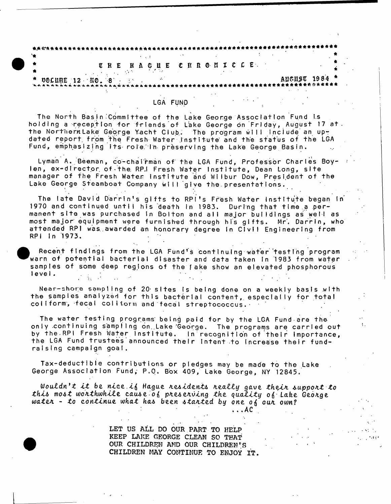|  |  |  | <b>UHE HAGUE CHROMICLE.</b> |  |  |  |  |  |  |  |  |  |  |  |  |  |               |  |
|--|--|--|-----------------------------|--|--|--|--|--|--|--|--|--|--|--|--|--|---------------|--|
|  |  |  |                             |  |  |  |  |  |  |  |  |  |  |  |  |  | АЦСПУС 1984 * |  |

# LGA FUND

The North Basin Committee of the Lake George Association Fund is holding a reception for friends of Lake George on Friday, August 17 at. the Northernlake George Yacht Club. The program will include an updated report from the Fresh Water Institute and the status of the LGA Fund, emphasizing its role.'In preserving the Lake George Basin.

Lyman A. Beeman, co-chairman of the LGA Fund, Professor Charles Boylen, ex-director of the RP.I Fresh Water Institute, Dean Long, site manager of the Fresh Water institute and Wilbur Dow, President of the Lake George Steamboat Company will give the presentations.

The late David Darrin's glfts to RPI's Fresh Water Institute began in 1970 and continued until his death in 1983. During that time a permanent site was purchased in Bolton and all major buildings as well as most major equipment were furnished through his gifts. Mr. Darrin, who attended RPI was awarded an honorary degree in Civil Engineering from RPI In '1973.

Recent findings from the LGA Fund's continuing water testing program warn of potential bacterial disaster and data taken in 1983 from water samples of some deep regions of the *\* ake show an elevated phosphorous level.  $\Delta\Delta\phi$  and  $\Delta\phi$ 

Near-shore sampling of 20 sites is being done on a weekly basis with the samples analyzed for this bacterial content, especially for total coliform, fecal colitorm and fecal streptococcus. -

The water testing programs being paid for by the LGA Fund are the only continuing sampling on Lake George. The programs are carried out by the RPI Fresh Water Institute. In recognition of their importance, the LGA Fund trustees announced their Intent to increase their fundraising campaign goal.

Tax-deductible contributions or pledges may be made to the Lake George Association Fund; P.O. Box 409, Lake George, NY 12845.

*Wouldn't it be nice if Hague residents really gave their support to tk l& mo&t* **a***wfithwhlle.* **catu e o^** *pfie.6 cfivlng the. q u a l i t y ofi- Lake* **GeoAge** water - to continue what has been stanted by one of our own?

**.. .AC**

 $\mathbf{L}$ 

**LET US ALL DO OUR PART TO HELP KEEP LAKE GEORGE CLEAN SO THAT OUR CHILDREN AND OUR CHILDREN'S CHILDREN MAY CONTINUE TO ENJOY IT,**



**L**

<sup>•</sup>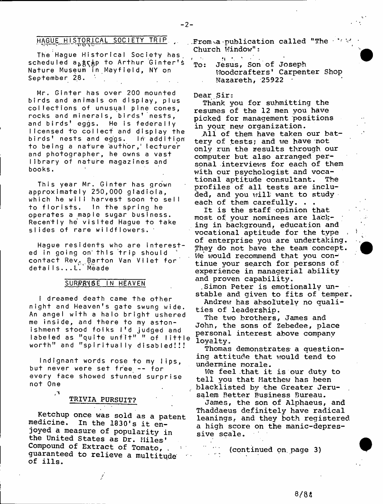# HAGUE HISTORICAL SOCIETY TRIP

The Hague Historical Society has. scheduled a<sub>b</sub>age to Arthur Ginter's Nature Museum in Mayfield, NY on September 28.

Mr. Ginter has over 200 mounted birds and animals on display, plus collections of unusual pine cones, rocks and minerals, birds' nests, and birds' eggs. He is federally licensed to collect and display the birds' nests and eggs. In addition to being a nature author,' lecturer and photographer, he owns a vast library of nature magazines and books.

This year Mr. Ginter has grown approximately 250,000 gladioia, which he will harvest soon to sell to florists. In the spring he operates a maple sugar business. Recently he visited Hague to take slides of rare wildflowers. '

Hague residents who are interested in going on this trip should contact Rev, Barton Van Vliet for details...L. Meade

## SURPRYSE IN HEAVEN

I dreamed death came the other night and Heaven's gate swung wide. An angel with a halo bright ushered me inside, and there to my astonishment stood folks I'd judged and labeled as "quite unfit" " of little worth" and "spiritually disabled!!!

Indignant words rose to my lips, but never were set free -- for every face showed stunned surprise not One

 $\sim$ 

# $\texttt{TRIVIA}$  PURSUIT?

**Ketchup once was sold as a patent medicine. In the 1830's it enjoyed a measure of popularity in the United States as Dr. Miles' Compound of Extract of Tomato, , guaranteed to relieve a multitude of ills.**

**.From va publication called "The ■ Church Window";**

n and the M V of the M V of the M V of the M V of the M V of the M V of the M V of the M V of the M V of the M V of the M V of the M V of the M V of the M V of the M V of the M V of the M V of the M V of the M V of the M V **To: Jesus, Son of Joseph Woodcrafters9 Carpenter Shop Nazareth, -25922 t**

#### **Dear Sir:**

**Thank you for submitting the resumes of the 12 men you have picked for management positions in your new organization.**

**.All of them have taken our battery of tests; and we have not only run the results through our computer but also arranged per**sonal interviews for each of them **with our psychologist and vocational aptitude consultant. The profiles of all tests are included, and you will want to study each of them carefully. . .**

**It is the staff opinion that most of your nominees are lacking in background, education and vocational aptitude for the type . of enterprise you are undertaking. They do not have the team concept. We would recommend that you con-: tinue your search for persons of experience in managerial ability and proven capability.**

**.Simon Peter is emotionally unstable and given to fits of temper.**

**Andrev? has absolutely no qualities of leadership.**

**The tv/o brothers, James and John, the sons of Zebedee, place personal interest above company loyalty.**

Thomas demonstrates a question**ing attitude that would tend to undermine morale.**

**We feel that it is our duty to tell you that Matthew has been blacklisted by the Greater Jerusalem Better Business Bureau.**

**James, the son of Alphaeus, and Thaddaeus definitely have radical leanings, and they both registered a high score on the manic-depressive scale.**

**(continued on. page 3)**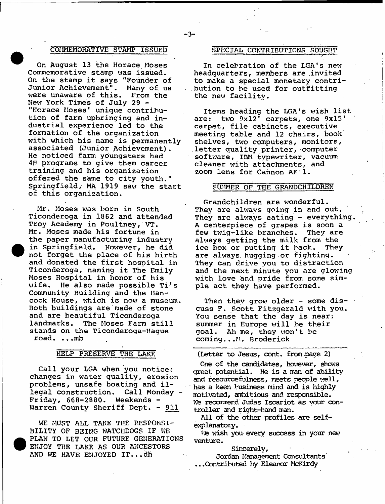## **C OMMEMO RAT IVE STAMP ISSUED SPECIAL CONTRIBUTIONS SOUGHT**

**On August 13 the Horace Moses Commemorative stamp was issued. On the stamp it says "Founder of Junior Achievement". Many of. us were unaware of this. From the New York Times of July 29 - "Horace Moses1 unique contribution of farm upbringing and industrial experience led to the formation of the organization with which his name is permanently associated (Junior Achievement). He noticed farm youngsters had 4H programs to give them career training and his organization offered the same to city youth." Springfield/ MA 1919 saw the start of this organization.**

**Mr. Moses was born in South Ticonderoga in 1862 and attended Troy Academy in Poultney, VT. Mr. Moses made his fortune in the paper manufacturing industry in Springfield. However, he did not forget the place of his birth and donated the first hospital in Ticonderoga, naming it The Emily Moses Hospital in honor of his wife. He also made possible Ti's Community Building and the Hancock House, which is now a museum. Both buildings are made of stone and are beautiful Ticonderoga** The Moses Farm still **stands on the Ticonderoga-Hague road. .".mb**

## **HELP PRESERVE THE LAKE**

**Call your LGA when you notices changes in water quality, erosion problems, unsafe boating and illegal construction. Call Monday - Friday, 668-2830. Weekends - Warren County Sheriff Dept. - 911**

**WE MUST ALL TAKE THE RESPONSI-BILITY OF BEING WATCHDOGS IF WE PLAN TO LET OUR FUTURE GENERATIONS ENJOY THE LAKE AS OUR ANCESTORS AND WE HAVE ENJOYED IT...dh**

**In celebration of the LGA's new headquarters, members are invited to make a special monetary contribution to be used for outfitting the new facility.**

**Items heading the LGA's wish list are: two 9x12\* carpets, one 9x15\* carpet, file cabinets, executive meeting table and 12 chairs, book shelves, two computers, monitors, letter quality printer, computer software, IBM typewriter, vacuum cleaner with attachments, and zoom lens for Cannon AF 1.**

### **SUMMER OF THE GRANDCHILDREN**

**Grandchildren are wonderful. They are always going in and out. t** They are always eating - everything. **A centerpiece of grapes is soon a few twig-like branches. They are always getting the milk from the ice box or putting it back. They are always, hugging or fighting. They can drive you to distraction and the next minute you are glowing with love and pride from some simple act they have performed.**

**Then they grow older - some discuss F. Scott Fitzgerald with you. You sense that the day is near; summer in Europe will be their goal. Ah me, they won't be coming...M. Broderick**

**(Letter to Jesus, cont. from page 2)**

**One of the candidates, however, shows great potential. He is a man of ability and resourcefulness, meets people well, has a keen business mind and is highly motivated, ambitious and responsible. We recommend Judas Iscariot as vour controller and right-hand man.**

**All of the other profiles are selfexplanatory.**

**Tfe wish you every success in your new venture.**

**Sincerely,**

**Jordan Management Consultants .. .Contributed by Eleanor McKirdy**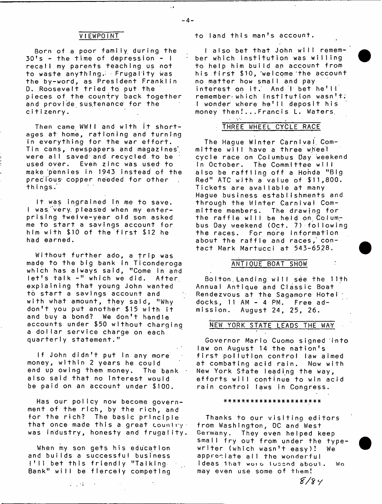Born of a poor family during the  $30's - the time of depression - 1$ recall my parents teaching us not to waste anything.- Frugality was the by-word, as President Franklin 0. Roosevelt tried to put the pieces of the country back together and provIde sustenance for the citizenry.

Then came WWII and with it shortages at home, rationing and turning in every thing for the war effort. Tin cans, newspapers and magazines', were all saved and recycled to be used over. Even zinc was used to make pennies in 1943 instead of the precious- copper needed for other things.

It was ingrained In me to save. I was very pleased when my enterprising twelve-year old son asked me to start a savings account for him with \$10 of the first \$12 he had earned.

Without further ado, a trip was made to the big bank in Ticonderoga which has always said, "Come in and  $let's$  talk  $-$ " which we did. After explaining that young John wanted to start a savings account and with what amount, they said, "Why don't you put another \$15 with  $i$ t and buy a bond? We don't handle accounts under \$50 without charging a dollar service charge on each quarterly statement."

If John didn't put in any more money, within 2 years he could end up owing them money. The bank  $\cdot$ also said that no Interest would be paid on an account under \$100.

Has our policy now become government of the rich, by the rich, and for the rich? The basic principle that once made this a great country. was industry, honesty and frugality.

When my son gets his education and builds a successful business  $\{\uparrow\downarrow\}$  bet this friendly "Talking Bank" will be fiercely competing

 $\sim 100$  M  $_{\odot}$ 

VIEWPOINT to land this man's account.

I also bet that John will remember which institution was willing to help him build an account from his first \$10, welcome the account no matter how small and pay interest on it. And I bet he'll remember which institution wasn't; I wonder where he'll deposit his money then!...Francis L. Waters,

# - *1*<sup>i</sup> THREE WHEEL CYCLE RACE

The Hague Winter Carnival. Committee will have a three wheel cycle race on Columbus day weekend In October. The Committee will also be raffiing off a Honda "Big Red" ATC with a value of  $$11,800$ . Tickets are available at many Hague business establishments and through the Winter Carnival Committee members. The drawing for the raffle will be held on Columbus Day weekend (Oct. 7) following the races. For more information about the raffle and races, contact Mark Martucci at 543-6528.

## ANTIQUE BOAT SHOW

Bolton Landing will see the 11th Annual Antique and Classic Boat Rendezvous at the Sagamore Hotel  $docks$ , 11 AM - 4 PM. Free admission. August 24, 25, 26.

## NEW YORK STATE LEADS THE WAT

Governor Mario Cuomo signed into law on August 14 the nation's first pollution control law aimed at combating acid rain. Now with New York State leading the way, efforts will continue to win acid rain control laws in Congress.

#### # # \* # \* \* # \* \* # # \* \* # \* # \* # \* # \* #

Thanks to our visiting editors from Washington, DC and West Germany. They even helped keep small fry out from under the typewriter (which wasn't easy)! We appreciate all the wonderful ideas that were lucced about. We may even use some of them!

*1f/2Y*

 $\sim 1$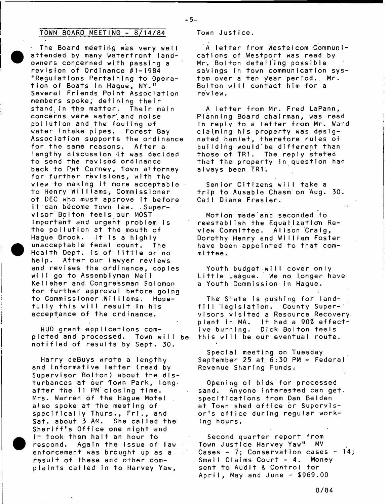# TOWN BOARD MEETING -  $8/14/84$  Town Justice.

The Board meeting was very well attended by many waterfront landowners concerned with passing a revision of Ordinance #1-1984 "Regulations Pertaining to Operation of Boats In Hague, NY." Several Friends Point Association members spoke; defining their stand in the matter. Their main concerns were water and noise pollution and the fouling of water intake pipes. Forest Bay Association supports the ordinance for the same reasons. After a lengthy discussion it was decided to send the revised ordinance back to Pat Carney, town attorney for further revisions, with the view to making it more acceptable to Henry Williams; Commissioner of DEC who must approve it before it can become town law. . Supervisor Bolton feels our MOST Important and urgent problem is the pollution at the mouth of Hague Brook. It is a highly unacceptable fecal count. The Health Dept. is of little or no help. After our lawyer reviews and revises the ordinance, copies will go to Assemblyman Neil Kelleher and Congressman Solomon for further approval before going to Commissioner Williams. Hopefully this will result in his acceptance of the ordinance.

HUD grant applications completed and processed. Town will be notified of results by Sept. 30.

Harry deBuys wrote a lengthy and informative letter (read by Supervisor Bolton) about the disturbances at our Town Park, longafter the 11 PM closing time. Mrs. Warren of the Hague Motel also spoke at the meeting of specifically Thurs., Fri., and Sat. about 3 AM. She called the Sheriff's Office one night and It took them half an hour to respond. Again the issue of law enforcement was brought up as a result of these and other complaints called in to Harvey Yaw,

- 5-

A letter from Westelcom Communlcations of Westport was read by Mr. Bolton detailing possible savings in town communication system over a ten year period., Mr. Boiton will contact him for <mark>a</mark> review.

A letter from Mr. Fred LaPann, Planning Board chairman, was read In reply to a letter from Mr. Ward claiming his property was designated hamlet, therefore rules of building would'be different than those of TR1. The reply stated that the property in question had always been TR1.

Senior Citizens will take a trip to Ausable Chasm on Aug. 30. Call Diane Frasier.

Motion made and seconded to reestablish the Equalization Review Committee. Alison Craig, Dorothy Henry and William Foster have been appointed to that committee.

Youth budget will cover only Little League. We no longer have a Youth Commission in Hague.

The State is pushing for landfill legislation. County Supervisors visited a Resource Recovery plant in MA. It had a 90% effective burning. Dick Bolton feels this will be our eventual route.

Special meeting on Tuesday September 25 at 6:30 PM - Federal Revenue Sharing Funds.

Opening of bids for processed sand. Anyone interested can get. specifications from Dan Belden at Town shed office or Supervisor's office during regular working hours.

Second quarter report from Town Justice Harvey Yaw" MV Cases - 7; Conservation cases -  $14$ ; Small Claims Court - 4. Money sent to Audit & Control for April, May and June - \$969.00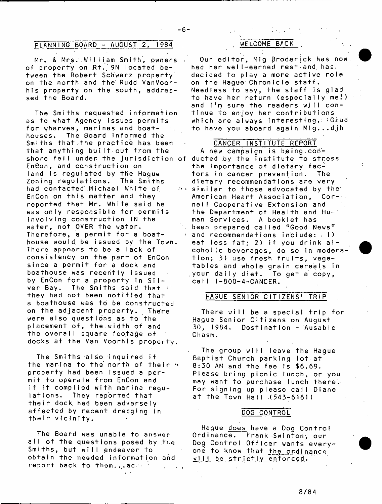# PLANNING BOARD - AUGUST 2, 1984

 $-6-$ 

Mr. & Mrs. William Smith, owners of property on Rt. 9N located between the Robert Schwarz property' on the north and the Rudd VanVoorhis property on the south, addressed the Board.

The Smiths requested information as to what Agency issues permits for wharves, marinas and boathouses. The Board informed the Smiths that.the practice has been that anything built out from the shore fell under the jurisdiction of ducted by the institute to stress EnCon, and construction on land is regulated by the Hague Zoning regulations. The Smiths had contacted Michael White of EnCon on this matter and they reported that Mr. White said he was only responsible for permits involving construction IN the water, not OVER the water. Therefore, a permit for a boathouse would, be issued by the Town. Thore appoars to be a lack of consistency on the part of EnCon since a permit for a dock and boathouse was recently issued by EnCon for a property in  $S11$ ver Bay. The Smiths said that they had not been notified that a boathouse was to be constructed on the adjacent property. There were also questions as to the placement of, the.width of and the overall square footage of docks at the Van Voorhis property.

The Smiths also inquired if the marina to the north of their property had been issued a permit to operate from EnCon and if it complied with marina requlations. They reported that their dock had been adversely affected by recent dredging in the Ir vicinity.

The Board was unable to answer all of the questions posed by the Smiths, but will endeavor to obtain the needed information and report back to them...ac.

# WELCOME BACK

Our editor, Mig Broderick has now had her well-earned rest and has. decided to play a more active role on the Hague ChronicIe staff. Needless to say, the staff is glad to have her return (especially me!) and I'm sure the readers will continue to enjoy her contributions which are always interesting. Glad to have you aboard again M!g...djh

### CANCER INSTITUTE REPORT

A new campaign is being conthe importance of dietary factors in cancer prevention. The dietary recommendations are very  $\circ$  similar to those advocated by the American Heart Association, Cor- nell Cooperative Extension and the Department of Health and Hu-' man Services. A booklet has been prepared called "Good News" and recommendations include:  $.1)$ eat less fat; 2) if you drink alcoholic beverages, do so. in moderation; 3) use fresh fruits, vegetables and whole grain cereals in your daily diet. To get a copy, call 1-800-4-CANCER.

# HAGUE SENIOR CITIZENS' TRIP

There will be a special trip for Hague Senior Citizens on August  $30.1984.$  Destination - Ausable Chasm.

The group will leave the Hague Baptist Church parking lot-at 8:30 AM and the fee is \$6.69. Please bring picnic lunch, or you may want to purchase lunch there. For signing up please call Diane at the Town Hall .(543-6161)

## DOG CONTROL

Hague does have a Dog Control Ordinance, Frank SwintOn, our Dog Control Officer wants everyone to know that the ordinance will be strictly enforced.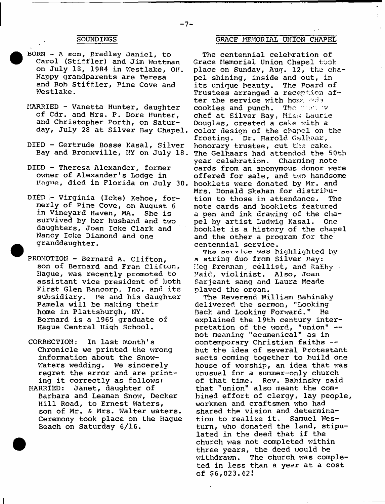- **BORN A son, Bradley Daniel, to Carol (Stiffler) and Jim Wottman on July 18, 1984 in Westlake, OH. Happy grandparents are Teresa and Bob Stiffler, Pine Cove and Westlake.**
- **MARRIED Vanetta Hunter, daughter of Cdr. and Mrs. P. Dore Hunter, and Christopher Forth, on Saturday, July 28 at Silver Bay Chapel.**
- **DIED Gertrude Bosse Kasai, Silver Bay and Bronxville, NY on July 18.**
- **DIED Theresa Alexander, former** owner of Alexander's Lodge in **Hague, died in Florida on July 30.**
- **DIED Virginia (Icke) Kehoe, formerly of Pine Cove, on August 6 in Vineyard Haven, MA. She is survived by her husband and two daughters, Joan Icke Clark and Nancy Icke Diamond and one granddaughter.**
- **PROMOTION Bernard A. Clifton, son of Bernard and Fran Clifton, Hague, was recently promoted to assistant vice president of both First Glen Bancorp, Inc. and its subsidiary. He and his daughter Pamela will be making their home in Plattsburgh, NY. Bernard is a 1965 graduate of Hague Central High School.**
- **CORRECTION: In last month's Chronicle we printed the wrong information about the Snow-Waters wedding. We sincerely regret the error and are printing it correctly as follows:**
- **MARRIED: Janet, daughter of Barbara and Leaman Snow, Decker** Hill Road, to Ernest Waters, **son of Mr. & Mrs. Walter waters. Ceremony took place on the Hague Beach on Saturday 6/16.**

# **GRACF MEMORIAL UNION CHAPEL**

**The centennial celebration of Grace Memorial Union Chapel took place on Sunday, Aug. 12, the chapel shining, inside and out, in its unique beauty. The Board of Trustees arranged a reception after the service with home ada cookies and punch. The v chef at Silver Bay, Mia;-; Laurie Douglas, created a cake with a color design of the chapel on the frosting. Dr. Harold Gslhaar, honorary trustee, cut the cake. The Gelhaars had attended the 50th year celebration. Charming note cards from an anonymous donor were offered for sale, and two handsome booklets were donated by Mr. and Mrs. Donald Skahan for distribution to those in attendance. The note cards and booklets featured a pen and ink drawing of the chapel by artist Ludwig Kasai. One booklet is a history of the chapel and the other a program for the centennial service.**

**Tho oe**2**.vj.ee i«aa highlighted by a string duo from Silver Bay: Meg Brennan,, cellist, and I<athy - Paid, violinist. Also, Joan Sarjeant sang and Laura Meade played the organ.**

The Reverend William Babinsky **delivered the sermon, "Looking Back and Looking Forward." He explained the 19th century interpretation of the word, "union" not meaning "ecumenical" as in contemporary Christian faiths but the idea of several Protestant sects coming together to build one house of worship, an idea that was unusual for a summer-only church of that time. Rev. Babinskv said that "union" also meant the combined effort of clergy, lay people, workmen and craftsmen who had shared the vision and determination to realize it. Samuel Westurn, who donated the land, stipulated in the deed that if the church was not completed within three years, the deed would be withdrawn. The church was completed in less than a year at a cost of \$6,023.42:**